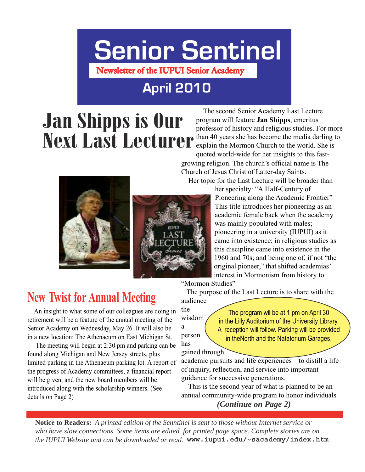# **Senior Sentinel**

**Newsletter of the IUPUI Senior Academy**

### **April 2010**

## Jan Shipps is Our Next Last Lecturer

 The second Senior Academy Last Lecture program will feature **Jan Shipps**, emeritus professor of history and religious studies. For more than 40 years she has become the media darling to explain the Mormon Church to the world. She is quoted world-wide for her insights to this fastgrowing religion. The church's official name is The Church of Jesus Christ of Latter-day Saints.

Her topic for the Last Lecture will be broader than





her specialty: "A Half-Century of Pioneering along the Academic Frontier" This title introduces her pioneering as an academic female back when the academy was mainly populated with males; pioneering in a university (IUPUI) as it came into existence; in religious studies as this discipline came into existence in the 1960 and 70s; and being one of, if not "the original pioneer," that shifted academias' interest in Mormonism from history to

"Mormon Studies"

The purpose of the Last Lecture is to share with the audience

the wisdom a person has

The program wil be at 1 pm on April 30 in the Lilly Auditorium of the University Library. A reception will follow. Parking will be provided in theNorth and the Natatorium Garages.

gained through

academic pursuits and life experiences—to distill a life of inquiry, reflection, and service into important guidance for successive generations.

 This is the second year of what is planned to be an annual community-wide program to honor individuals

*(Continue on Page 2)*

**Notice to Readers:** *A printed edition of the Senntinel is sent to those without Internet service or who have slow connections. Some items are edited for printed page space. Complete stories are on the IUPUI Website and can be downloaded or read.* **www.iupui.edu/~sacademy/index.htm**

### **New Twist for Annual Meeting**

 An insight to what some of our colleagues are doing in retirement will be a feature of the annual meeting of the Senior Academy on Wednesday, May 26. It will also be in a new location: The Athenaeum on East Michigan St.

 The meeting will begin at 2:30 pm and parking can be found along Michigan and New Jersey streets, plus limited parking in the Athenaeum parking lot. A report of the progress of Academy committees, a financial report will be given, and the new board members will be introduced along with the scholarship winners. (See details on Page 2)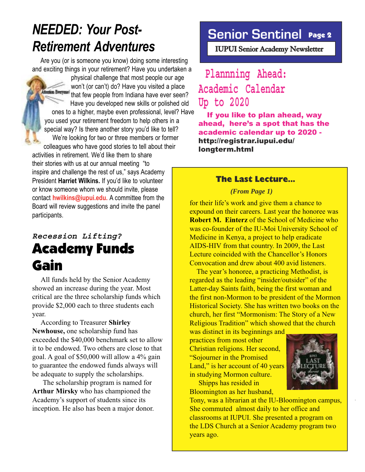### *NEEDED: Your Post-Retirement Adventures*

 Are you (or is someone you know) doing some interesting and exciting things in your retirement? Have you undertaken a

physical challenge that most people our age won't (or can't) do? Have you visited a place *Everymen* that few people from Indiana have ever seen? Have you developed new skills or polished old ones to a higher, maybe even professional, level? Have you used your retirement freedom to help others in a special way? Is there another story you'd like to tell? We're looking for two or three members or former colleagues who have good stories to tell about their activities in retirement. We'd like them to share their stories with us at our annual meeting "to inspire and challenge the rest of us," says Academy

President **Harriet Wilkins.** If you'd like to volunteer or know someone whom we should invite, please contact **hwilkins@iupui.edu.** A committee from the Board will review suggestions and invite the panel participants.

### **Recession Lifting?** Academy Funds Gain

 All funds held by the Senior Academy showed an increase during the year. Most critical are the three scholarship funds which provide \$2,000 each to three students each year.

 According to Treasurer **Shirley Newhouse,** one scholarship fund has exceeded the \$40,000 benchmark set to allow it to be endowed. Two others are close to that goal. A goal of \$50,000 will allow a 4% gain to guarantee the endowed funds always will be adequate to supply the scholarships.

 The scholarship program is named for **Arthur Mirsky** who has championed the Academy's support of students since its inception. He also has been a major donor.

### **Senior Sentinel** Page 2

 **IUPUI Senior Academy Newsletter** 

### **Plannning Ahead: Academic Calendar Up to 2020**

 If you like to plan ahead, way ahead, here's a spot that has the academic calendar up to 2020 http://registrar.iupui.edu/ longterm.html

#### The Last Lecture...

*(From Page 1)*

for their life's work and give them a chance to expound on their careers. Last year the honoree was **Robert M. Einterz** of the School of Medicine who was co-founder of the IU-Moi University School of Medicine in Kenya, a project to help eradicate AIDS-HIV from that country. In 2009, the Last Lecture coincided with the Chancellor's Honors Convocation and drew about 400 avid listeners.

 The year's honoree, a practicing Methodist, is regarded as the leading "insider/outsider" of the Latter-day Saints faith, being the first woman and the first non-Mormon to be president of the Mormon Historical Society. She has written two books on the church, her first "Mormonism: The Story of a New Religious Tradition" which showed that the church

was distinct in its beginnings and practices from most other Christian religions. Her second, "Sojourner in the Promised Land," is her account of 40 years in studying Mormon culture.

 Shipps has resided in Bloomington as her husband,

Tony, was a librarian at the IU-Bloomington campus, She commuted almost daily to her office and classrooms at IUPUI. She presented a program on the LDS Church at a Senior Academy program two years ago.



.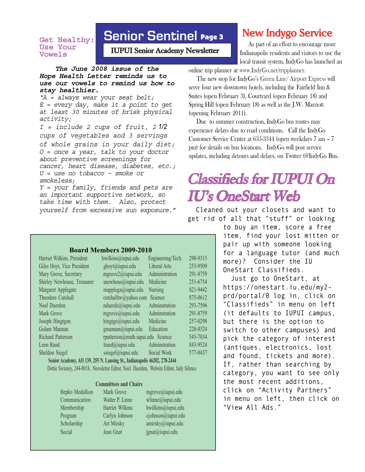#### **Get Healthy: Use Your Vowels**

### **Senior Sentinel** Page 3

 **IUPUI Senior Academy Newsletter** 

 **The June 2008 issue of the Hope Health Letter reminds us to use our vowels to remind us how to stay healthier.**

"A = always wear your seat belt;  $E =$  every day, make it a point to get at least 30 minutes of brisk physical activity;

I = include 2 cups of fruit, 2 *1/2* cups of vegetables and 3 servings of whole grains in your daily diet; O = once a year, talk to your doctor about preventive screenings for cancer, heart disease, diabetes, etc.;  $U =$  use no tobacco – smoke or smokeless;

Y = your family, friends and pets are an important supportive network, so take time with them. Also, protect yourself from excessive sun exposure."

#### **Board Members 2009-2010**

| Harriet Wilkins, President  | hwilkins@iupui.edu                   | Engineering/Tech.   | 298-9315 |
|-----------------------------|--------------------------------------|---------------------|----------|
| Giles Hoyt, Vice President  | ghoyt@iupui.edu                      | <b>Liberal Arts</b> | 253-9509 |
| Mary Grove, Secretary       | mgrove2@iupui.edu                    | Administration      | 291-8759 |
| Shirley Newhouse, Treasurer | snewhous@iupui.edu                   | Medicine            | 251-6754 |
| Margaret Applegate          | mapplega@iupui.edu                   | <b>Nursing</b>      | 821-9442 |
| Theodore Cutshall           | cutshalltw@yahoo.com Science         |                     | 875-0612 |
| Noel Duerden                | nduerde@iupui.edu                    | Adminstration       | 293-7596 |
| Mark Grove                  | mgrove@iupui.edu                     | Adminstration       | 291-8759 |
| Joseph Hingtgen.            | hingtge@iupui.edu                    | Medicine            | 257-0298 |
| Golam Mannan                | gmannan@iupui.edu                    | Education           | 228-0324 |
| <b>Richard Patterson</b>    | rpatterson@math.iupui.edu Science    |                     | 545-7034 |
| Leon Rand                   | $\text{lrand}(\widehat{a}$ iupui.edu | Adminstration       | 843-9524 |
| Sheldon Siegel              | ssiegel@iupui.edu                    | Social Work         | 577-0437 |
|                             |                                      |                     |          |

 **Senior Academy, AO 139, 255 N. Lansing St., Indianapolis 46202, 278-2444** Dottie Swinney, 244-8018, Newsletter Editor, Noel Duerden, Website Editor, Judy Silence

#### **Committees and Chairs**

Bepko Medallion Mark Grove mgrove@iupui.edu Communication Walter P. Linne wlinne@iupui.edu Membership Harriet Wilkins hwilkins@iupui.edu Program Carlyn Johnson cjohnson@iupui.edu Scholarship Art Mirsky amirsky@iupui.edu Social Jean Gnat jgnat@iupui.edu

### **New Indygo Service**

As part of an effort to encourage more Indianapolis residents and visitors to use the local transit system, IndyGo has launched an

online trip planner at www.IndyGo.net/tripplanner.

 The new stop for IndyGo's Green Line/ Airport Express will serve four new downtown hotels, including the Fairfield Inn & Suites (open February 3), Courtyard (open February 18) and Spring Hill (open February 18) as well as the J.W. Marriott (opening February 2011).

 Due to summer construction, IndyGo bus routes may experience delays due to road conditions. Call the IndyGo Customer Service Center at 635-3344 (open weekdays 7 am – 7 pm) for details on bus locations. IndyGo will post service updates, including detours and delays, on Twitter (@IndyGo Bus.

### **Classifieds for IUPUI On Classifieds for IUPUI On IU's OneStart Web IU's OneStart Web**

Cleaned out your closets and want to get rid of all that "stuff" or looking

> to buy an item, score a free item, find your lost mitten or pair up with someone looking for a language tutor (and much more)? Consider the IU OneStart Classifieds.

> Just go to OneStart, at https://onestart.iu.edu/my2 prd/portal/0 log in, click on "Classifieds" in menu on left (it defaults to IUPUI campus, but there is the option to switch to other campuses) and pick the category of interest (antiques, electronics, lost and found, tickets and more). If, rather than searching by category, you want to see only the most recent additions, click on "Activity Partners" in menu on left, then click on "View All Ads."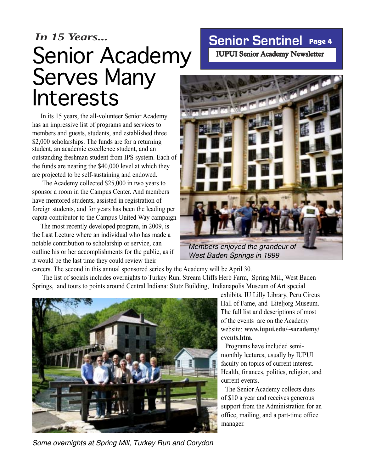## *In 15 Years...*<br> **Senior Sentinel Page 4** Senior Academy Serves Many Interests

student, an academic excellence student, and an outstanding freshman student from IPS system. Each of the funds are nearing the \$40,000 level at which they are projected to be self-sustaining and endowed. In its 15 years, the all-volunteer Senior Academy has an impressive list of programs and services to members and guests, students, and established three \$2,000 scholarships. The funds are for a returning

 The Academy collected \$25,000 in two years to sponsor a room in the Campus Center. And members have mentored students, assisted in registration of foreign students, and for years has been the leading per capita contributor to the Campus United Way campaign

 The most recently developed program, in 2009, is the Last Lecture where an individual who has made a notable contribution to scholarship or service, can outline his or her accomplishments for the public, as if it would be the last time they could review their

 **IUPUI Senior Academy Newsletter** 



West Baden Springs in 1999

careers. The second in this annual sponsored series by the Academy will be April 30.

 The list of socials includes overnights to Turkey Run, Stream Cliffs Herb Farm, Spring Mill, West Baden Springs, and tours to points around Central Indiana: Stutz Building, Indianapolis Museum of Art special



exhibits, IU Lilly Library, Peru Circus Hall of Fame, and Eiteljorg Museum. The full list and descriptions of most of the events are on the Academy website: **www.iupui.edu/~sacademy/ events.htm.**

Programs have included semimonthly lectures, usually by IUPUI faculty on topics of current interest. Health, finances, politics, religion, and current events.

The Senior Academy collects dues of \$10 a year and receives generous support from the Administration for an office, mailing, and a part-time office manager.

Some overnights at Spring Mill, Turkey Run and Corydon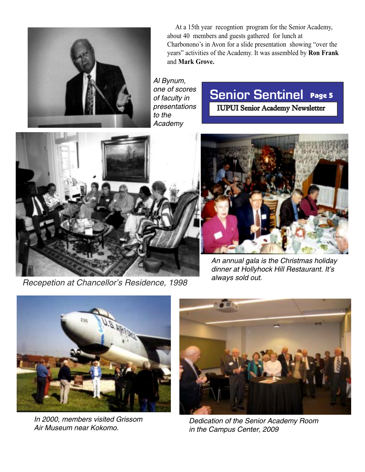

 At a 15th year recogntion program for the Senior Academy, about 40 members and guests gathered for lunch at Charbonono's in Avon for a slide presentation showing "over the years" activities of the Academy. It was assembled by **Ron Frank** and **Mark Grove.**

#### Al Bynum, one of scores of faculty in presentations to the Academy

### **Senior Sentinel** Page 5

 **IUPUI Senior Academy Newsletter** 



Recepetion at Chancellor's Residence, 1998



An annual gala is the Christmas holiday dinner at Hollyhock Hill Restaurant. It's always sold out.



In 2000, members visited Grissom Air Museum near Kokomo.



Dedication of the Senior Academy Room in the Campus Center, 2009